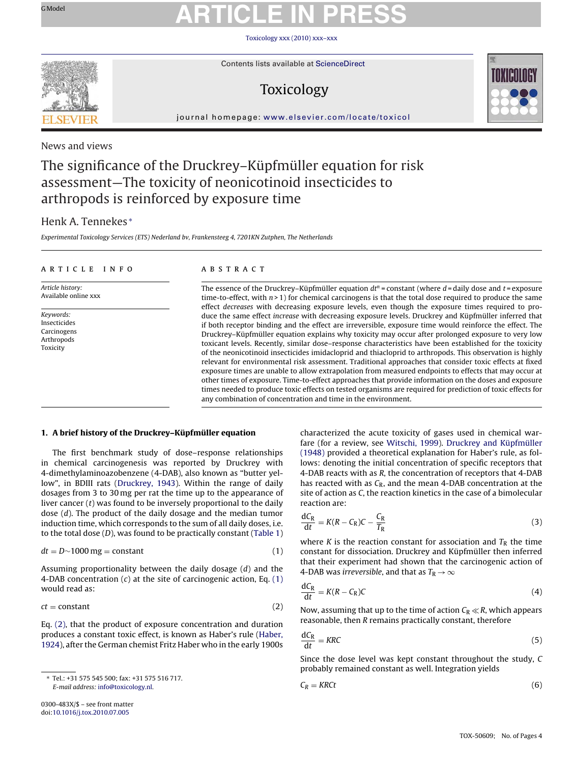# <span id="page-0-0"></span>GModel **ARTICLE IN PRESS**

Toxicology [xxx \(2010\) xxx–xxx](dx.doi.org/10.1016/j.tox.2010.07.005)



Contents lists available at [ScienceDirect](http://www.sciencedirect.com/science/journal/0300483X)

## Toxicology



journal homepage: [www.elsevier.com/locate/toxicol](http://www.elsevier.com/locate/toxicol)

## News and views

## The significance of the Druckrey–Küpfmüller equation for risk assessment—The toxicity of neonicotinoid insecticides to arthropods is reinforced by exposure time

## Henk A. Tennekes <sup>∗</sup>

Experimental Toxicology Services (ETS) Nederland bv, Frankensteeg 4, 7201KN Zutphen, The Netherlands

### article info

Article history: Available online xxx

### ABSTRACT

The essence of the Druckrey–Küpfmüller equation  $dt^n$  = constant (where  $d$  = daily dose and  $t$  = exposure time-to-effect, with  $n > 1$ ) for chemical carcinogens is that the total dose required to produce the same effect decreases with decreasing exposure levels, even though the exposure times required to produce the same effect increase with decreasing exposure levels. Druckrey and Küpfmüller inferred that if both receptor binding and the effect are irreversible, exposure time would reinforce the effect. The Druckrey–Küpfmüller equation explains why toxicity may occur after prolonged exposure to very low toxicant levels. Recently, similar dose–response characteristics have been established for the toxicity of the neonicotinoid insecticides imidacloprid and thiacloprid to arthropods. This observation is highly relevant for environmental risk assessment. Traditional approaches that consider toxic effects at fixed exposure times are unable to allow extrapolation from measured endpoints to effects that may occur at other times of exposure. Time-to-effect approaches that provide information on the doses and exposure times needed to produce toxic effects on tested organisms are required for prediction of toxic effects for any combination of concentration and time in the environment.

### **1. A brief history of the Druckrey–Küpfmüller equation**

The first benchmark study of dose–response relationships in chemical carcinogenesis was reported by Druckrey with 4-dimethylaminoazobenzene (4-DAB), also known as "butter yellow", in BDIII rats [\(Druckrey, 1943\).](#page-3-0) Within the range of daily dosages from 3 to 30 mg per rat the time up to the appearance of liver cancer  $(t)$  was found to be inversely proportional to the daily dose (d). The product of the daily dosage and the median tumor induction time, which corresponds to the sum of all daily doses, i.e. to the total dose  $(D)$ , was found to be practically constant ([Table 1\)](#page-1-0)

$$
dt = D \sim 1000 \,\text{mg} = \text{constant} \tag{1}
$$

Assuming proportionality between the daily dosage (d) and the 4-DAB concentration  $(c)$  at the site of carcinogenic action, Eq.  $(1)$ would read as:

$$
ct = constant \tag{2}
$$

Eq. (2), that the product of exposure concentration and duration produces a constant toxic effect, is known as Haber's rule [\(Haber,](#page-3-0) [1924\),](#page-3-0) after the German chemist Fritz Haber who in the early 1900s

characterized the acute toxicity of gases used in chemical warfare (for a review, see [Witschi, 1999\).](#page-3-0) [Druckrey and Küpfmüller](#page-3-0) [\(1948\)](#page-3-0) provided a theoretical explanation for Haber's rule, as follows: denoting the initial concentration of specific receptors that 4-DAB reacts with as R, the concentration of receptors that 4-DAB has reacted with as  $C_R$ , and the mean 4-DAB concentration at the site of action as C, the reaction kinetics in the case of a bimolecular reaction are:

$$
\frac{dC_R}{dt} = K(R - C_R)C - \frac{C_R}{T_R}
$$
\n(3)

where K is the reaction constant for association and  $T_R$  the time constant for dissociation. Druckrey and Küpfmüller then inferred that their experiment had shown that the carcinogenic action of 4-DAB was irreversible, and that as  $T_R \rightarrow \infty$ 

$$
\frac{dC_R}{dt} = K(R - C_R)C\tag{4}
$$

Now, assuming that up to the time of action  $C_R \ll R$ , which appears reasonable, then R remains practically constant, therefore

$$
\frac{dC_R}{dt} = KRC \tag{5}
$$

Since the dose level was kept constant throughout the study, C probably remained constant as well. Integration yields

$$
C_R = KRCt \tag{6}
$$

Keywords: Insecticides Carcinogens **Arthropods** Toxicity

<sup>∗</sup> Tel.: +31 575 545 500; fax: +31 575 516 717. E-mail address: [info@toxicology.nl](mailto:info@toxicology.nl).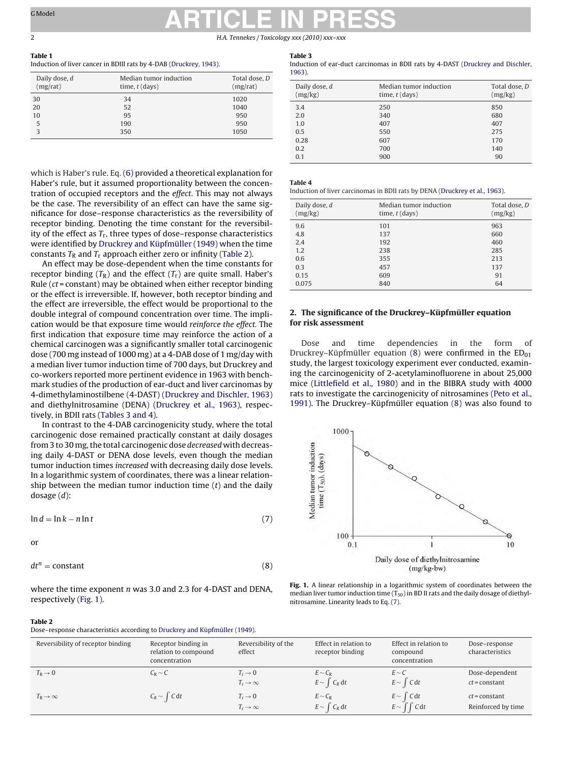## <span id="page-1-0"></span>GModel **ARTICLE IN PRESS** 2 H.A. Tennekes / Toxicology *xxx (2010) xxx–xxx*

#### **Table 1 Table 1** Induction of liver cancer in BDIII rats by 4-DAB [\(Druckrey, 1943\).](#page-3-0)

| Daily dose, d<br>(mg/rat) | Median tumor induction<br>time, $t$ (days) | Total dose, D<br>(mg/rat) |
|---------------------------|--------------------------------------------|---------------------------|
| 30                        | 34                                         | 1020                      |
| 20                        | 52                                         | 1040                      |
| 10                        | 95                                         | 950                       |
| 5                         | 190                                        | 950                       |
| 3                         | 350                                        | 1050                      |
|                           |                                            |                           |

which is Haber's rule. Eq. [\(6\)](#page-0-0) provided a theoretical explanation for Haber's rule, but it assumed proportionality between the concentration of occupied receptors and the effect. This may not always be the case. The reversibility of an effect can have the same significance for dose–response characteristics as the reversibility of receptor binding. Denoting the time constant for the reversibility of the effect as  $T_r$ , three types of dose–response characteristics were identified by [Druckrey and Küpfmüller \(1949\)](#page-3-0) when the time constants  $T_R$  and  $T_r$  approach either zero or infinity (Table 2).

An effect may be dose-dependent when the time constants for receptor binding  $(T_R)$  and the effect  $(T_r)$  are quite small. Haber's Rule ( $ct = constant$ ) may be obtained when either receptor binding or the effect is irreversible. If, however, both receptor binding and the effect are irreversible, the effect would be proportional to the double integral of compound concentration over time. The implication would be that exposure time would reinforce the effect. The first indication that exposure time may reinforce the action of a chemical carcinogen was a significantly smaller total carcinogenic dose (700 mg instead of 1000 mg) at a 4-DAB dose of 1 mg/day with a median liver tumor induction time of 700 days, but Druckrey and co-workers reported more pertinent evidence in 1963 with benchmark studies of the production of ear-duct and liver carcinomas by 4-dimethylaminostilbene (4-DAST) ([Druckrey and Dischler, 1963\)](#page-3-0) and diethylnitrosamine (DENA) [\(Druckrey et al., 1963\),](#page-3-0) respectively, in BDII rats (Tables 3 and 4).

In contrast to the 4-DAB carcinogenicity study, where the total carcinogenic dose remained practically constant at daily dosages from 3 to 30 mg, the total carcinogenic dose decreased with decreasing daily 4-DAST or DENA dose levels, even though the median tumor induction times increased with decreasing daily dose levels. In a logarithmic system of coordinates, there was a linear relationship between the median tumor induction time  $(t)$  and the daily dosage (d):

$$
\ln d = \ln k - n \ln t \tag{7}
$$

$$
\quad \text{or} \quad
$$

$$
dt^n = \text{constant} \tag{8}
$$

where the time exponent *n* was 3.0 and 2.3 for 4-DAST and DENA, respectively (Fig. 1).

### Table 3

**Table 3** Induction of ear-duct carcinomas in BDII rats by 4-DAST [\(Druckrey and Dischler,](#page-3-0) [1963\).](#page-3-0)

| Daily dose, d<br>(mg/kg) | Median tumor induction<br>time, $t$ (days) | Total dose, D<br>(mg/kg) |
|--------------------------|--------------------------------------------|--------------------------|
| 3.4                      | 250                                        | 850                      |
| 2.0                      | 340                                        | 680                      |
| 1.0                      | 407                                        | 407                      |
| 0.5                      | 550                                        | 275                      |
| 0.28                     | 607                                        | 170                      |
| 0.2                      | 700                                        | 140                      |
| 0.1                      | 900                                        | 90                       |

**Table 4** Induction of liver carcinomas in BDII rats by DENA [\(Druckrey et al., 1963\).](#page-3-0)

| Daily dose, d<br>(mg/kg) | Median tumor induction<br>time, $t$ (days) | Total dose, D<br>(mg/kg) |
|--------------------------|--------------------------------------------|--------------------------|
| 9.6                      | 101                                        | 963                      |
| 4.8                      | 137                                        | 660                      |
| 2.4                      | 192                                        | 460                      |
| 1.2                      | 238                                        | 285                      |
| 0.6                      | 355                                        | 213                      |
| 0.3                      | 457                                        | 137                      |
| 0.15                     | 609                                        | 91                       |
| 0.075                    | 840                                        | 64                       |

## **2. The significance of the Druckrey–Küpfmüller equation**

Dose and time dependencies in the form of Druckrey–Küpfmüller equation  $(8)$  were confirmed in the  $ED_{01}$ study, the largest toxicology experiment ever conducted, examining the carcinogenicity of 2-acetylaminofluorene in about 25,000 mice [\(Littlefield et al., 1980\)](#page-3-0) and in the BIBRA study with 4000 rats to investigate the carcinogenicity of nitrosamines [\(Peto et al.,](#page-3-0) [1991\).](#page-3-0) The Druckrey–Küpfmüller equation (8) was also found to



**Fig. 1.** A linear relationship in a logarithmic system of coordinates between the median liver tumor induction time  $(T_{50})$  in BD II rats and the daily dosage of diethylnitrosamine. Linearity leads to Eq. (7).

#### Table 2

**Table 2** Dose–response characteristics according to [Druckrey and Küpfmüller \(1949\).](#page-3-0)

| Reversibility of receptor binding | Receptor binding in<br>relation to compound<br>concentration | Reversibility of the<br>effect                        | Effect in relation to<br>receptor binding | Effect in relation to<br>compound<br>concentration | Dose-response<br>characteristics      |
|-----------------------------------|--------------------------------------------------------------|-------------------------------------------------------|-------------------------------------------|----------------------------------------------------|---------------------------------------|
| $T_{\rm R} \rightarrow 0$         | $C_R \sim C$                                                 | $T_r \rightarrow 0$<br>$T_{\rm r} \rightarrow \infty$ | $E \sim C_R$<br>$E \sim \int C_R dt$      | $E \sim C$<br>$E \sim \int C dt$                   | Dose-dependent<br>$ct = constant$     |
| $T_{\rm R} \rightarrow \infty$    | $C_R \sim \int C dt$                                         | $T_r \rightarrow 0$<br>$T_{\rm r} \rightarrow \infty$ | $E \sim C_R$<br>$E \sim \int C_R dt$      | $E \sim \int C dt$<br>$E \sim \int \int C dt$      | $ct = constant$<br>Reinforced by time |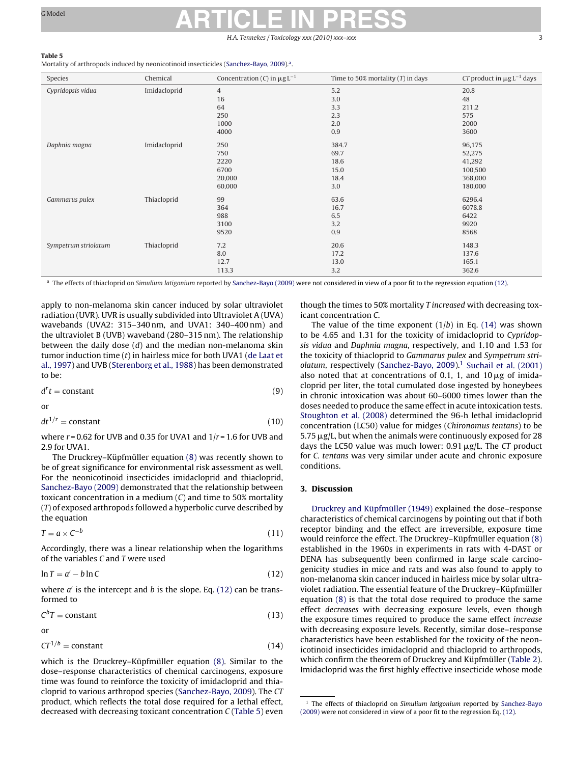# GModel **ARTICLE IN PRESS**

H.A. Tennekes / Toxicology xxx (2010) xxx

### Table 5

Mortality of arthropods induced by neonicotinoid insecticides [\(Sanchez-Bayo, 2009\).](#page-3-0)<sup>a</sup>.

| Species              | Chemical     | Concentration (C) in $\mu$ g L <sup>-1</sup> | Time to 50% mortality $(T)$ in days | CT product in $\mu$ g L <sup>-1</sup> days |
|----------------------|--------------|----------------------------------------------|-------------------------------------|--------------------------------------------|
| Cypridopsis vidua    | Imidacloprid | $\overline{4}$                               | 5.2                                 | 20.8                                       |
|                      |              | 16                                           | 3.0                                 | 48                                         |
|                      |              | 64                                           | 3.3                                 | 211.2                                      |
|                      |              | 250                                          | 2.3                                 | 575                                        |
|                      |              | 1000                                         | 2.0                                 | 2000                                       |
|                      |              | 4000                                         | 0.9                                 | 3600                                       |
| Daphnia magna        | Imidacloprid | 250                                          | 384.7                               | 96,175                                     |
|                      |              | 750                                          | 69.7                                | 52,275                                     |
|                      |              | 2220                                         | 18.6                                | 41,292                                     |
|                      |              | 6700                                         | 15.0                                | 100,500                                    |
|                      |              | 20,000                                       | 18.4                                | 368,000                                    |
|                      |              | 60,000                                       | 3.0                                 | 180,000                                    |
| Gammarus pulex       | Thiacloprid  | 99                                           | 63.6                                | 6296.4                                     |
|                      |              | 364                                          | 16.7                                | 6078.8                                     |
|                      |              | 988                                          | 6.5                                 | 6422                                       |
|                      |              | 3100                                         | 3.2                                 | 9920                                       |
|                      |              | 9520                                         | 0.9                                 | 8568                                       |
| Sympetrum striolatum | Thiacloprid  | 7.2                                          | 20.6                                | 148.3                                      |
|                      |              | 8.0                                          | 17.2                                | 137.6                                      |
|                      |              | 12.7                                         | 13.0                                | 165.1                                      |
|                      |              | 113.3                                        | 3.2                                 | 362.6                                      |

<sup>a</sup> The effects of thiacloprid on Simulium latigonium reported by [Sanchez-Bayo \(2009\)](#page-3-0) were not considered in view of a poor fit to the regression equation (12).

apply to non-melanoma skin cancer induced by solar ultraviolet radiation (UVR). UVR is usually subdivided into Ultraviolet A (UVA) wavebands (UVA2: 315–340 nm, and UVA1: 340–400 nm) and the ultraviolet B (UVB) waveband (280–315 nm). The relationship between the daily dose  $(d)$  and the median non-melanoma skin tumor induction time  $(t)$  in hairless mice for both UVA1 ([de Laat et](#page-3-0) [al., 1997\)](#page-3-0) and UVB [\(Sterenborg et al., 1988\) h](#page-3-0)as been demonstrated to be:

$$
d^r t = constant \tag{9}
$$

or

$$
dt^{1/r} = constant \tag{10}
$$

where  $r = 0.62$  for UVB and 0.35 for UVA1 and  $1/r = 1.6$  for UVB and 2.9 for UVA1.

The Druckrey–Küpfmüller equation [\(8\)](#page-1-0) was recently shown to be of great significance for environmental risk assessment as well. For the neonicotinoid insecticides imidacloprid and thiacloprid, [Sanchez-Bayo \(2009\)](#page-3-0) demonstrated that the relationship between toxicant concentration in a medium  $(C)$  and time to 50% mortality (T) of exposed arthropods followed a hyperbolic curve described by the equation

$$
T = a \times C^{-b} \tag{11}
$$

Accordingly, there was a linear relationship when the logarithms of the variables C and T were used

$$
\ln T = a' - b \ln C \tag{12}
$$

where  $a'$  is the intercept and b is the slope. Eq. (12) can be transformed to

$$
C^bT = \text{constant} \tag{13}
$$

or

$$
CT^{1/b} = \text{constant} \tag{14}
$$

which is the Druckrey–Küpfmüller equation [\(8\).](#page-1-0) Similar to the dose–response characteristics of chemical carcinogens, exposure time was found to reinforce the toxicity of imidacloprid and thiacloprid to various arthropod species [\(Sanchez-Bayo, 2009\).](#page-3-0) The CT product, which reflects the total dose required for a lethal effect, decreased with decreasing toxicant concentration C (Table 5) even

though the times to 50% mortality T increased with decreasing toxicant concentration C.

The value of the time exponent  $(1/b)$  in Eq.  $(14)$  was shown to be 4.65 and 1.31 for the toxicity of imidacloprid to Cypridopsis vidua and Daphnia magna, respectively, and 1.10 and 1.53 for the toxicity of thiacloprid to Gammarus pulex and Sympetrum stri-olatum, respectively ([Sanchez-Bayo, 2009\).](#page-3-0)<sup>1</sup> Suchail et al.  $(2001)$ also noted that at concentrations of 0.1, 1, and  $10 \mu$ g of imidacloprid per liter, the total cumulated dose ingested by honeybees in chronic intoxication was about 60–6000 times lower than the doses needed to produce the same effect in acute intoxication tests. [Stoughton et al. \(2008\)](#page-3-0) determined the 96-h lethal imidacloprid concentration (LC50) value for midges (Chironomus tentans) to be  $5.75 \,\mathrm{\mu g/L}$ , but when the animals were continuously exposed for 28 days the LC50 value was much lower:  $0.91 \mu g/L$ . The CT product for C. tentans was very similar under acute and chronic exposure conditions.

[Druckrey and Küpfmüller \(1949\)](#page-3-0) explained the dose–response characteristics of chemical carcinogens by pointing out that if both receptor binding and the effect are irreversible, exposure time would reinforce the effect. The Druckrey–Küpfmüller equation [\(8\)](#page-1-0) established in the 1960s in experiments in rats with 4-DAST or DENA has subsequently been confirmed in large scale carcinogenicity studies in mice and rats and was also found to apply to non-melanoma skin cancer induced in hairless mice by solar ultraviolet radiation. The essential feature of the Druckrey–Küpfmüller equation [\(8\)](#page-1-0) is that the total dose required to produce the same effect decreases with decreasing exposure levels, even though the exposure times required to produce the same effect increase with decreasing exposure levels. Recently, similar dose–response characteristics have been established for the toxicity of the neonicotinoid insecticides imidacloprid and thiacloprid to arthropods, which confirm the theorem of Druckrey and Küpfmüller [\(Table 2\).](#page-1-0) Imidacloprid was the first highly effective insecticide whose mode

<sup>&</sup>lt;sup>1</sup> The effects of thiacloprid on Simulium latigonium reported by [Sanchez-Bayo](#page-3-0) [\(2009\)](#page-3-0) were not considered in view of a poor fit to the regression Eq. (12).